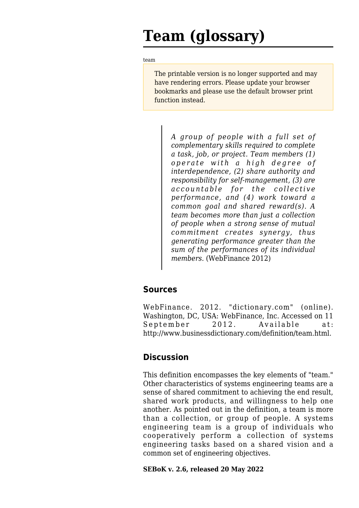## **Team (glossary)**

[team](http://sebokwiki.org/wiki/Team_(glossary))

The printable version is no longer supported and may have rendering errors. Please update your browser bookmarks and please use the default browser print function instead.

*A group of people with a full set of complementary skills required to complete a task, job, or project. Team members (1) operate with a high degree of interdependence, (2) share authority and responsibility for self-management, (3) are accountable for the collective performance, and (4) work toward a common goal and shared reward(s). A team becomes more than just a collection of people when a strong sense of mutual commitment creates synergy, thus generating performance greater than the sum of the performances of its individual members.* (WebFinance 2012)

## **Sources**

WebFinance. 2012. "dictionary.com" (online). Washington, DC, USA: WebFinance, Inc. Accessed on 11 September 2012. Available at: <http://www.businessdictionary.com/definition/team.html>.

## **Discussion**

This definition encompasses the key elements of "team." Other characteristics of systems engineering teams are a sense of shared commitment to achieving the end result, shared work products, and willingness to help one another. As pointed out in the definition, a team is more than a collection, or group of people. A systems engineering team is a group of individuals who cooperatively perform a collection of systems engineering tasks based on a shared vision and a common set of engineering objectives.

**SEBoK v. 2.6, released 20 May 2022**